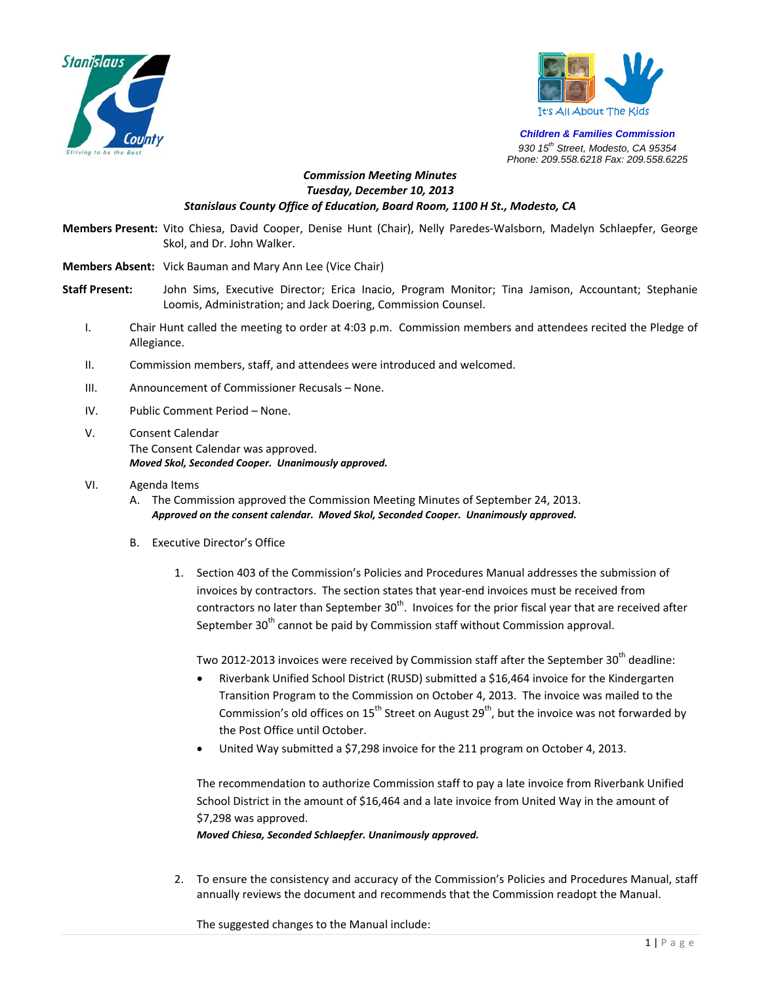



*Children & Families Commission 930 15th Street, Modesto, CA 95354 Phone: 209.558.6218 Fax: 209.558.6225*

## *Commission Meeting Minutes Tuesday, December 10, 2013 Stanislaus County Office of Education, Board Room, 1100 H St., Modesto, CA*

**Members Present:** Vito Chiesa, David Cooper, Denise Hunt (Chair), Nelly Paredes‐Walsborn, Madelyn Schlaepfer, George Skol, and Dr. John Walker.

**Members Absent:** Vick Bauman and Mary Ann Lee (Vice Chair)

- **Staff Present:** John Sims, Executive Director; Erica Inacio, Program Monitor; Tina Jamison, Accountant; Stephanie Loomis, Administration; and Jack Doering, Commission Counsel.
	- I. Chair Hunt called the meeting to order at 4:03 p.m. Commission members and attendees recited the Pledge of Allegiance.
	- II. Commission members, staff, and attendees were introduced and welcomed.
	- III. Announcement of Commissioner Recusals None.
	- IV. Public Comment Period None.
	- V. Consent Calendar The Consent Calendar was approved. *Moved Skol, Seconded Cooper. Unanimously approved.*
	- VI. Agenda Items
		- A. The Commission approved the Commission Meeting Minutes of September 24, 2013. *Approved on the consent calendar. Moved Skol, Seconded Cooper. Unanimously approved.*
		- B. Executive Director's Office
			- 1. Section 403 of the Commission's Policies and Procedures Manual addresses the submission of invoices by contractors. The section states that year-end invoices must be received from contractors no later than September  $30<sup>th</sup>$ . Invoices for the prior fiscal year that are received after September 30<sup>th</sup> cannot be paid by Commission staff without Commission approval.

Two 2012-2013 invoices were received by Commission staff after the September 30<sup>th</sup> deadline:

- Riverbank Unified School District (RUSD) submitted a \$16,464 invoice for the Kindergarten Transition Program to the Commission on October 4, 2013. The invoice was mailed to the Commission's old offices on  $15^{th}$  Street on August 29<sup>th</sup>, but the invoice was not forwarded by the Post Office until October.
- United Way submitted a \$7,298 invoice for the 211 program on October 4, 2013.

The recommendation to authorize Commission staff to pay a late invoice from Riverbank Unified School District in the amount of \$16,464 and a late invoice from United Way in the amount of \$7,298 was approved.

*Moved Chiesa, Seconded Schlaepfer. Unanimously approved.* 

2. To ensure the consistency and accuracy of the Commission's Policies and Procedures Manual, staff annually reviews the document and recommends that the Commission readopt the Manual.

The suggested changes to the Manual include: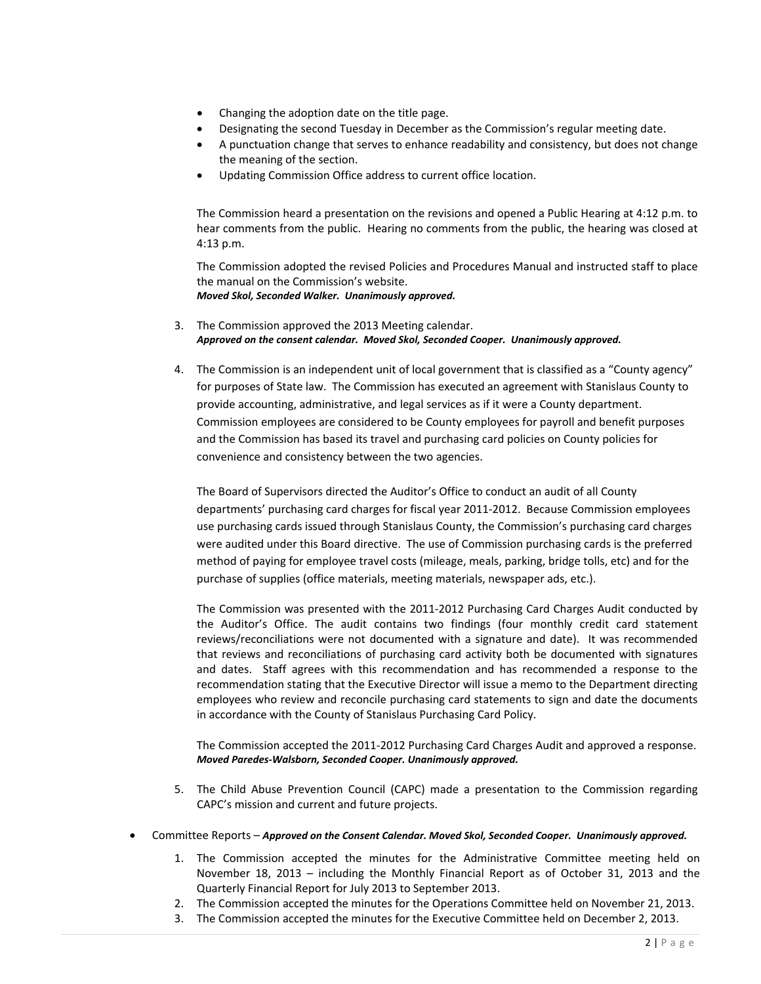- Changing the adoption date on the title page.
- Designating the second Tuesday in December as the Commission's regular meeting date.
- A punctuation change that serves to enhance readability and consistency, but does not change the meaning of the section.
- Updating Commission Office address to current office location.

The Commission heard a presentation on the revisions and opened a Public Hearing at 4:12 p.m. to hear comments from the public. Hearing no comments from the public, the hearing was closed at 4:13 p.m.

The Commission adopted the revised Policies and Procedures Manual and instructed staff to place the manual on the Commission's website. *Moved Skol, Seconded Walker. Unanimously approved.*

- 3. The Commission approved the 2013 Meeting calendar. *Approved on the consent calendar. Moved Skol, Seconded Cooper. Unanimously approved.*
- 4. The Commission is an independent unit of local government that is classified as a "County agency" for purposes of State law. The Commission has executed an agreement with Stanislaus County to provide accounting, administrative, and legal services as if it were a County department. Commission employees are considered to be County employees for payroll and benefit purposes and the Commission has based its travel and purchasing card policies on County policies for convenience and consistency between the two agencies.

The Board of Supervisors directed the Auditor's Office to conduct an audit of all County departments' purchasing card charges for fiscal year 2011‐2012. Because Commission employees use purchasing cards issued through Stanislaus County, the Commission's purchasing card charges were audited under this Board directive. The use of Commission purchasing cards is the preferred method of paying for employee travel costs (mileage, meals, parking, bridge tolls, etc) and for the purchase of supplies (office materials, meeting materials, newspaper ads, etc.).

The Commission was presented with the 2011‐2012 Purchasing Card Charges Audit conducted by the Auditor's Office. The audit contains two findings (four monthly credit card statement reviews/reconciliations were not documented with a signature and date). It was recommended that reviews and reconciliations of purchasing card activity both be documented with signatures and dates. Staff agrees with this recommendation and has recommended a response to the recommendation stating that the Executive Director will issue a memo to the Department directing employees who review and reconcile purchasing card statements to sign and date the documents in accordance with the County of Stanislaus Purchasing Card Policy.

The Commission accepted the 2011-2012 Purchasing Card Charges Audit and approved a response. *Moved Paredes‐Walsborn, Seconded Cooper. Unanimously approved.*

- 5. The Child Abuse Prevention Council (CAPC) made a presentation to the Commission regarding CAPC's mission and current and future projects.
- Committee Reports *Approved on the Consent Calendar. Moved Skol, Seconded Cooper. Unanimously approved.*
	- 1. The Commission accepted the minutes for the Administrative Committee meeting held on November 18, 2013 – including the Monthly Financial Report as of October 31, 2013 and the Quarterly Financial Report for July 2013 to September 2013.
	- 2. The Commission accepted the minutes for the Operations Committee held on November 21, 2013.
	- 3. The Commission accepted the minutes for the Executive Committee held on December 2, 2013.